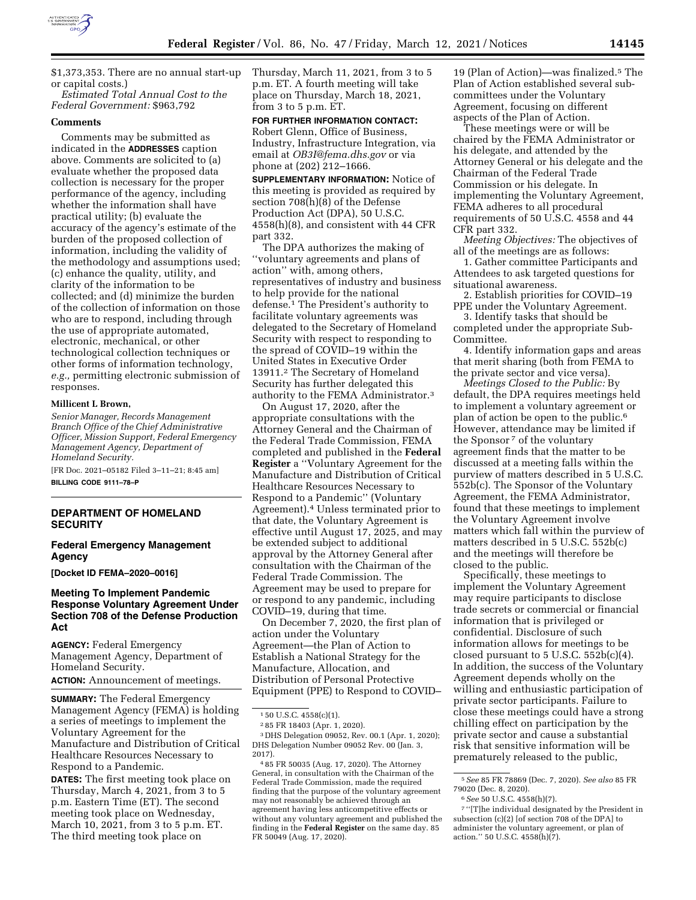

\$1,373,353. There are no annual start-up or capital costs.)

*Estimated Total Annual Cost to the Federal Government:* \$963,792

## **Comments**

Comments may be submitted as indicated in the **ADDRESSES** caption above. Comments are solicited to (a) evaluate whether the proposed data collection is necessary for the proper performance of the agency, including whether the information shall have practical utility; (b) evaluate the accuracy of the agency's estimate of the burden of the proposed collection of information, including the validity of the methodology and assumptions used; (c) enhance the quality, utility, and clarity of the information to be collected; and (d) minimize the burden of the collection of information on those who are to respond, including through the use of appropriate automated, electronic, mechanical, or other technological collection techniques or other forms of information technology, *e.g.,* permitting electronic submission of responses.

### **Millicent L Brown,**

*Senior Manager, Records Management Branch Office of the Chief Administrative Officer, Mission Support, Federal Emergency Management Agency, Department of Homeland Security.* 

[FR Doc. 2021–05182 Filed 3–11–21; 8:45 am] **BILLING CODE 9111–78–P** 

## **DEPARTMENT OF HOMELAND SECURITY**

### **Federal Emergency Management Agency**

**[Docket ID FEMA–2020–0016]** 

# **Meeting To Implement Pandemic Response Voluntary Agreement Under Section 708 of the Defense Production Act**

**AGENCY:** Federal Emergency Management Agency, Department of Homeland Security. **ACTION:** Announcement of meetings.

**SUMMARY:** The Federal Emergency Management Agency (FEMA) is holding a series of meetings to implement the Voluntary Agreement for the Manufacture and Distribution of Critical Healthcare Resources Necessary to Respond to a Pandemic.

**DATES:** The first meeting took place on Thursday, March 4, 2021, from 3 to 5 p.m. Eastern Time (ET). The second meeting took place on Wednesday, March 10, 2021, from 3 to 5 p.m. ET. The third meeting took place on

Thursday, March 11, 2021, from 3 to 5 p.m. ET. A fourth meeting will take place on Thursday, March 18, 2021, from 3 to 5 p.m. ET.

### **FOR FURTHER INFORMATION CONTACT:**

Robert Glenn, Office of Business, Industry, Infrastructure Integration, via email at *[OB3I@fema.dhs.gov](mailto:OB3I@fema.dhs.gov)* or via phone at (202) 212–1666.

**SUPPLEMENTARY INFORMATION:** Notice of this meeting is provided as required by section 708(h)(8) of the Defense Production Act (DPA), 50 U.S.C. 4558(h)(8), and consistent with 44 CFR part 332.

The DPA authorizes the making of ''voluntary agreements and plans of action'' with, among others, representatives of industry and business to help provide for the national defense.1 The President's authority to facilitate voluntary agreements was delegated to the Secretary of Homeland Security with respect to responding to the spread of COVID–19 within the United States in Executive Order 13911.2 The Secretary of Homeland Security has further delegated this authority to the FEMA Administrator.3

On August 17, 2020, after the appropriate consultations with the Attorney General and the Chairman of the Federal Trade Commission, FEMA completed and published in the **Federal Register** a ''Voluntary Agreement for the Manufacture and Distribution of Critical Healthcare Resources Necessary to Respond to a Pandemic'' (Voluntary Agreement).4 Unless terminated prior to that date, the Voluntary Agreement is effective until August 17, 2025, and may be extended subject to additional approval by the Attorney General after consultation with the Chairman of the Federal Trade Commission. The Agreement may be used to prepare for or respond to any pandemic, including COVID–19, during that time.

On December 7, 2020, the first plan of action under the Voluntary Agreement—the Plan of Action to Establish a National Strategy for the Manufacture, Allocation, and Distribution of Personal Protective Equipment (PPE) to Respond to COVID– 19 (Plan of Action)—was finalized.5 The Plan of Action established several subcommittees under the Voluntary Agreement, focusing on different aspects of the Plan of Action.

These meetings were or will be chaired by the FEMA Administrator or his delegate, and attended by the Attorney General or his delegate and the Chairman of the Federal Trade Commission or his delegate. In implementing the Voluntary Agreement, FEMA adheres to all procedural requirements of 50 U.S.C. 4558 and 44 CFR part 332.

*Meeting Objectives:* The objectives of all of the meetings are as follows:

1. Gather committee Participants and Attendees to ask targeted questions for situational awareness.

2. Establish priorities for COVID–19 PPE under the Voluntary Agreement.

3. Identify tasks that should be completed under the appropriate Sub-Committee.

4. Identify information gaps and areas that merit sharing (both from FEMA to the private sector and vice versa).

*Meetings Closed to the Public:* By default, the DPA requires meetings held to implement a voluntary agreement or plan of action be open to the public.6 However, attendance may be limited if the Sponsor<sup>7</sup> of the voluntary agreement finds that the matter to be discussed at a meeting falls within the purview of matters described in 5 U.S.C. 552b(c). The Sponsor of the Voluntary Agreement, the FEMA Administrator, found that these meetings to implement the Voluntary Agreement involve matters which fall within the purview of matters described in 5 U.S.C. 552b(c) and the meetings will therefore be closed to the public.

Specifically, these meetings to implement the Voluntary Agreement may require participants to disclose trade secrets or commercial or financial information that is privileged or confidential. Disclosure of such information allows for meetings to be closed pursuant to  $5$  U.S.C.  $552b(c)(4)$ . In addition, the success of the Voluntary Agreement depends wholly on the willing and enthusiastic participation of private sector participants. Failure to close these meetings could have a strong chilling effect on participation by the private sector and cause a substantial risk that sensitive information will be prematurely released to the public,

<sup>1</sup> 50 U.S.C. 4558(c)(1).

<sup>2</sup> 85 FR 18403 (Apr. 1, 2020).

<sup>3</sup> DHS Delegation 09052, Rev. 00.1 (Apr. 1, 2020); DHS Delegation Number 09052 Rev. 00 (Jan. 3, 2017).

<sup>4</sup> 85 FR 50035 (Aug. 17, 2020). The Attorney General, in consultation with the Chairman of the Federal Trade Commission, made the required finding that the purpose of the voluntary agreement may not reasonably be achieved through an agreement having less anticompetitive effects or without any voluntary agreement and published the finding in the **Federal Register** on the same day. 85 FR 50049 (Aug. 17, 2020).

<sup>5</sup>*See* 85 FR 78869 (Dec. 7, 2020). *See also* 85 FR 79020 (Dec. 8, 2020).

<sup>6</sup>*See* 50 U.S.C. 4558(h)(7).

<sup>7</sup> ''[T]he individual designated by the President in subsection (c)(2) [of section 708 of the DPA] to administer the voluntary agreement, or plan of action.'' 50 U.S.C. 4558(h)(7).